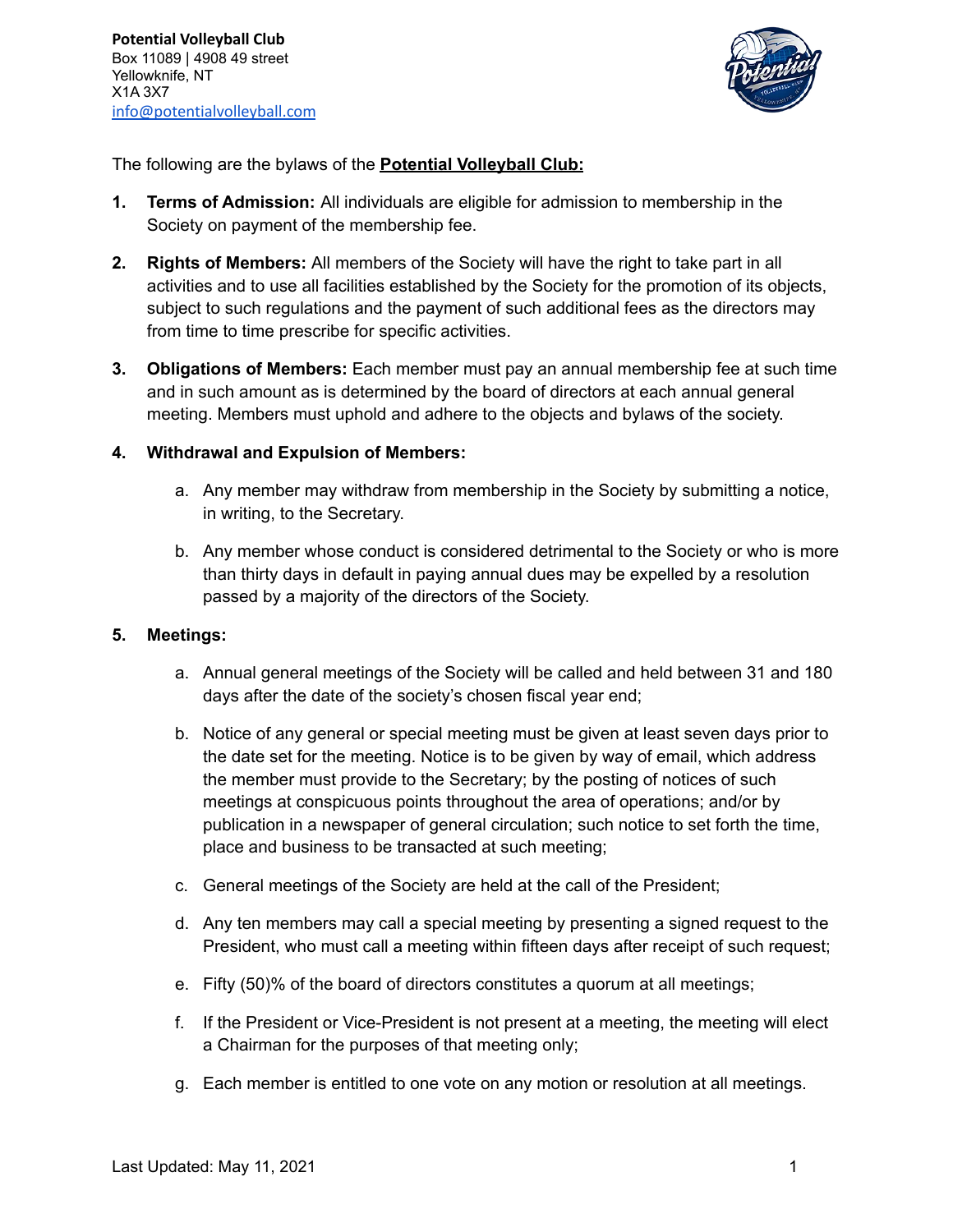

The following are the bylaws of the **Potential Volleyball Club:**

- **1. Terms of Admission:** All individuals are eligible for admission to membership in the Society on payment of the membership fee.
- **2. Rights of Members:** All members of the Society will have the right to take part in all activities and to use all facilities established by the Society for the promotion of its objects, subject to such regulations and the payment of such additional fees as the directors may from time to time prescribe for specific activities.
- **3. Obligations of Members:** Each member must pay an annual membership fee at such time and in such amount as is determined by the board of directors at each annual general meeting. Members must uphold and adhere to the objects and bylaws of the society.

### **4. Withdrawal and Expulsion of Members:**

- a. Any member may withdraw from membership in the Society by submitting a notice, in writing, to the Secretary.
- b. Any member whose conduct is considered detrimental to the Society or who is more than thirty days in default in paying annual dues may be expelled by a resolution passed by a majority of the directors of the Society.

# **5. Meetings:**

- a. Annual general meetings of the Society will be called and held between 31 and 180 days after the date of the society's chosen fiscal year end;
- b. Notice of any general or special meeting must be given at least seven days prior to the date set for the meeting. Notice is to be given by way of email, which address the member must provide to the Secretary; by the posting of notices of such meetings at conspicuous points throughout the area of operations; and/or by publication in a newspaper of general circulation; such notice to set forth the time, place and business to be transacted at such meeting;
- c. General meetings of the Society are held at the call of the President;
- d. Any ten members may call a special meeting by presenting a signed request to the President, who must call a meeting within fifteen days after receipt of such request;
- e. Fifty (50)% of the board of directors constitutes a quorum at all meetings;
- f. If the President or Vice-President is not present at a meeting, the meeting will elect a Chairman for the purposes of that meeting only;
- g. Each member is entitled to one vote on any motion or resolution at all meetings.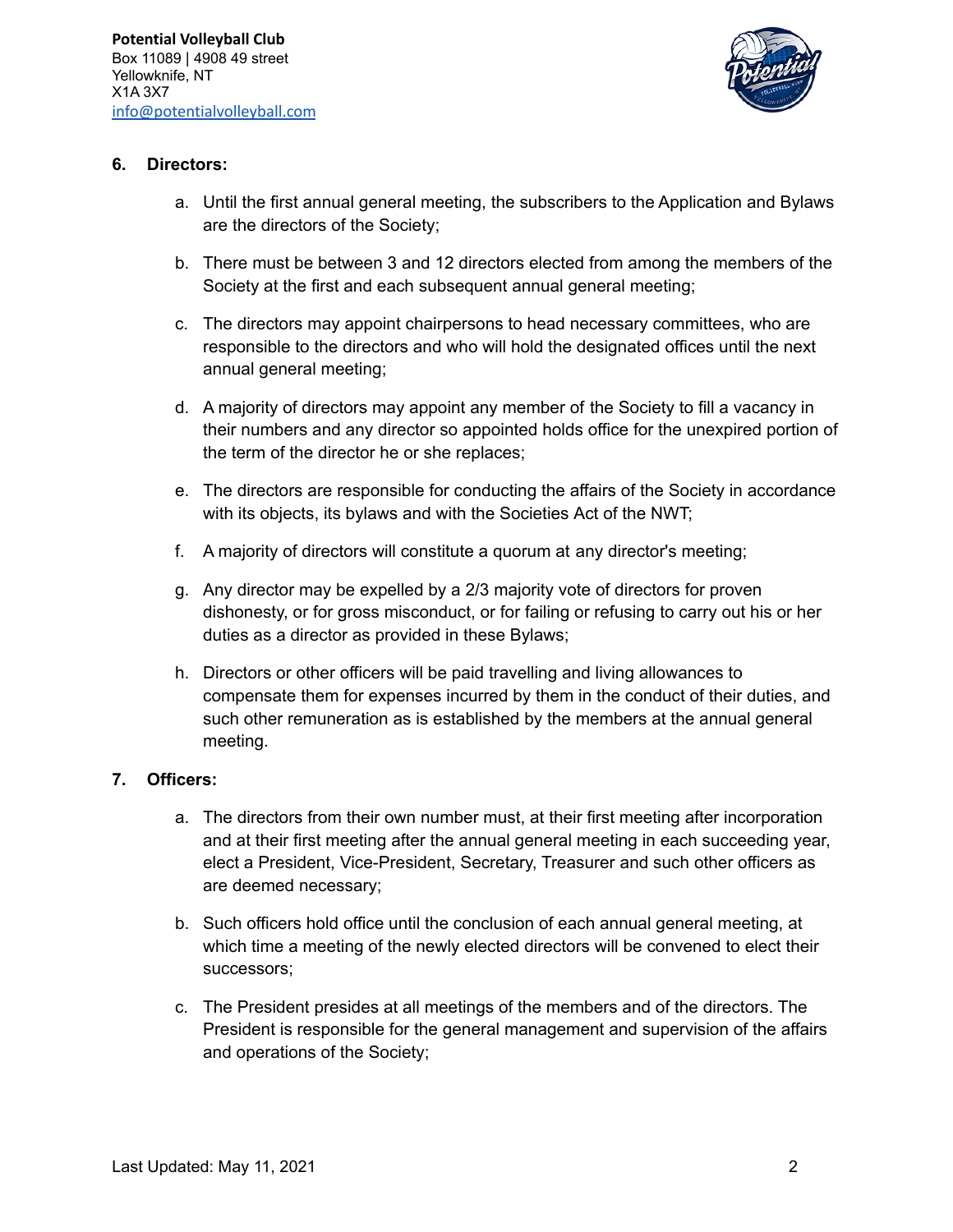

### **6. Directors:**

- a. Until the first annual general meeting, the subscribers to the Application and Bylaws are the directors of the Society;
- b. There must be between 3 and 12 directors elected from among the members of the Society at the first and each subsequent annual general meeting;
- c. The directors may appoint chairpersons to head necessary committees, who are responsible to the directors and who will hold the designated offices until the next annual general meeting;
- d. A majority of directors may appoint any member of the Society to fill a vacancy in their numbers and any director so appointed holds office for the unexpired portion of the term of the director he or she replaces;
- e. The directors are responsible for conducting the affairs of the Society in accordance with its objects, its bylaws and with the Societies Act of the NWT;
- f. A majority of directors will constitute a quorum at any director's meeting;
- g. Any director may be expelled by a 2/3 majority vote of directors for proven dishonesty, or for gross misconduct, or for failing or refusing to carry out his or her duties as a director as provided in these Bylaws;
- h. Directors or other officers will be paid travelling and living allowances to compensate them for expenses incurred by them in the conduct of their duties, and such other remuneration as is established by the members at the annual general meeting.

# **7. Officers:**

- a. The directors from their own number must, at their first meeting after incorporation and at their first meeting after the annual general meeting in each succeeding year, elect a President, Vice-President, Secretary, Treasurer and such other officers as are deemed necessary;
- b. Such officers hold office until the conclusion of each annual general meeting, at which time a meeting of the newly elected directors will be convened to elect their successors;
- c. The President presides at all meetings of the members and of the directors. The President is responsible for the general management and supervision of the affairs and operations of the Society;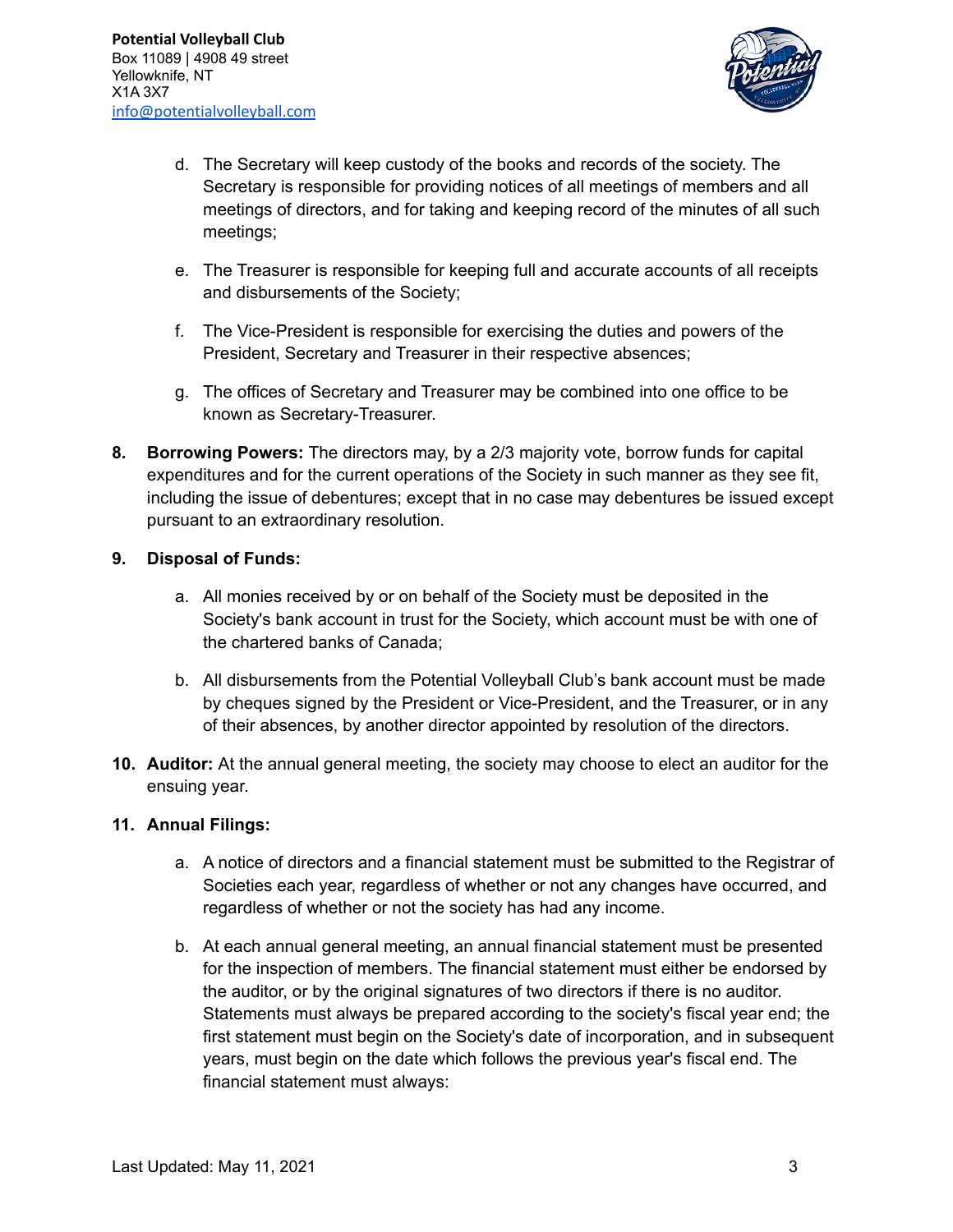

- d. The Secretary will keep custody of the books and records of the society. The Secretary is responsible for providing notices of all meetings of members and all meetings of directors, and for taking and keeping record of the minutes of all such meetings;
- e. The Treasurer is responsible for keeping full and accurate accounts of all receipts and disbursements of the Society;
- f. The Vice-President is responsible for exercising the duties and powers of the President, Secretary and Treasurer in their respective absences;
- g. The offices of Secretary and Treasurer may be combined into one office to be known as Secretary-Treasurer.
- **8. Borrowing Powers:** The directors may, by a 2/3 majority vote, borrow funds for capital expenditures and for the current operations of the Society in such manner as they see fit, including the issue of debentures; except that in no case may debentures be issued except pursuant to an extraordinary resolution.

### **9. Disposal of Funds:**

- a. All monies received by or on behalf of the Society must be deposited in the Society's bank account in trust for the Society, which account must be with one of the chartered banks of Canada;
- b. All disbursements from the Potential Volleyball Club's bank account must be made by cheques signed by the President or Vice-President, and the Treasurer, or in any of their absences, by another director appointed by resolution of the directors.
- **10. Auditor:** At the annual general meeting, the society may choose to elect an auditor for the ensuing year.

#### **11. Annual Filings:**

- a. A notice of directors and a financial statement must be submitted to the Registrar of Societies each year, regardless of whether or not any changes have occurred, and regardless of whether or not the society has had any income.
- b. At each annual general meeting, an annual financial statement must be presented for the inspection of members. The financial statement must either be endorsed by the auditor, or by the original signatures of two directors if there is no auditor. Statements must always be prepared according to the society's fiscal year end; the first statement must begin on the Society's date of incorporation, and in subsequent years, must begin on the date which follows the previous year's fiscal end. The financial statement must always: